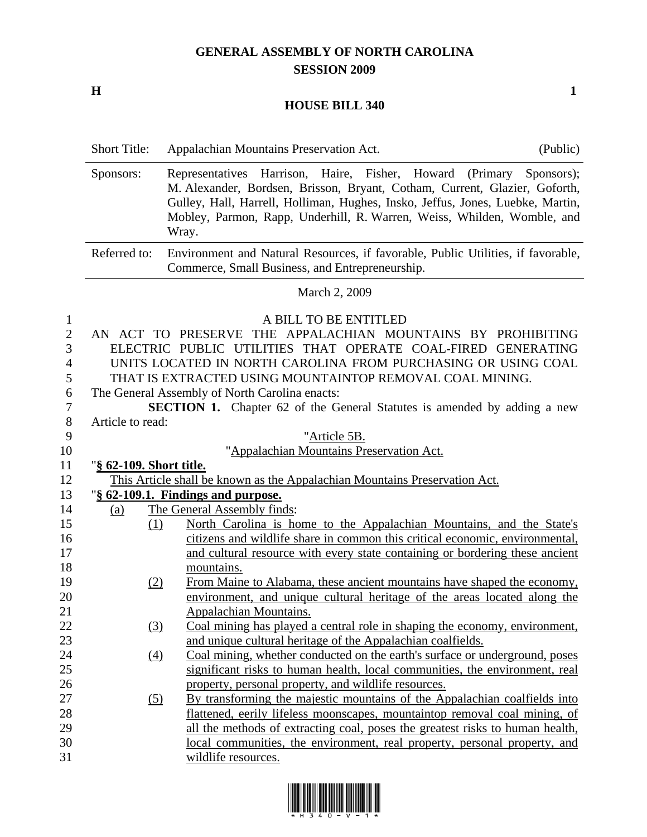## **GENERAL ASSEMBLY OF NORTH CAROLINA SESSION 2009**

**H** 1

## **HOUSE BILL 340**

|                                                    | <b>Short Title:</b>                                                                                                                                                                                                                                                                                                                 | (Public)<br>Appalachian Mountains Preservation Act.                                                                                                                                                                                                                                                                     |  |  |  |
|----------------------------------------------------|-------------------------------------------------------------------------------------------------------------------------------------------------------------------------------------------------------------------------------------------------------------------------------------------------------------------------------------|-------------------------------------------------------------------------------------------------------------------------------------------------------------------------------------------------------------------------------------------------------------------------------------------------------------------------|--|--|--|
|                                                    | Sponsors:                                                                                                                                                                                                                                                                                                                           | Representatives Harrison, Haire, Fisher, Howard (Primary Sponsors);<br>M. Alexander, Bordsen, Brisson, Bryant, Cotham, Current, Glazier, Goforth,<br>Gulley, Hall, Harrell, Holliman, Hughes, Insko, Jeffus, Jones, Luebke, Martin,<br>Mobley, Parmon, Rapp, Underhill, R. Warren, Weiss, Whilden, Womble, and<br>Wray. |  |  |  |
|                                                    | Referred to:                                                                                                                                                                                                                                                                                                                        | Environment and Natural Resources, if favorable, Public Utilities, if favorable,<br>Commerce, Small Business, and Entrepreneurship.                                                                                                                                                                                     |  |  |  |
|                                                    |                                                                                                                                                                                                                                                                                                                                     | March 2, 2009                                                                                                                                                                                                                                                                                                           |  |  |  |
| $\mathbf{1}$<br>$\mathfrak{2}$<br>3<br>4<br>5<br>6 | A BILL TO BE ENTITLED<br>AN ACT TO PRESERVE THE APPALACHIAN MOUNTAINS BY PROHIBITING<br>ELECTRIC PUBLIC UTILITIES THAT OPERATE COAL-FIRED GENERATING<br>UNITS LOCATED IN NORTH CAROLINA FROM PURCHASING OR USING COAL<br>THAT IS EXTRACTED USING MOUNTAINTOP REMOVAL COAL MINING.<br>The General Assembly of North Carolina enacts: |                                                                                                                                                                                                                                                                                                                         |  |  |  |
| 7                                                  |                                                                                                                                                                                                                                                                                                                                     | <b>SECTION 1.</b> Chapter 62 of the General Statutes is amended by adding a new                                                                                                                                                                                                                                         |  |  |  |
| $8\,$                                              | Article to read:                                                                                                                                                                                                                                                                                                                    |                                                                                                                                                                                                                                                                                                                         |  |  |  |
| 9                                                  |                                                                                                                                                                                                                                                                                                                                     | "Article 5B.                                                                                                                                                                                                                                                                                                            |  |  |  |
| 10                                                 |                                                                                                                                                                                                                                                                                                                                     | "Appalachian Mountains Preservation Act.                                                                                                                                                                                                                                                                                |  |  |  |
| 11                                                 | "§ 62-109. Short title.                                                                                                                                                                                                                                                                                                             |                                                                                                                                                                                                                                                                                                                         |  |  |  |
| 12                                                 | This Article shall be known as the Appalachian Mountains Preservation Act.                                                                                                                                                                                                                                                          |                                                                                                                                                                                                                                                                                                                         |  |  |  |
| 13                                                 | "§ 62-109.1. Findings and purpose.                                                                                                                                                                                                                                                                                                  |                                                                                                                                                                                                                                                                                                                         |  |  |  |
| 14                                                 | (a)                                                                                                                                                                                                                                                                                                                                 | The General Assembly finds:                                                                                                                                                                                                                                                                                             |  |  |  |
| 15                                                 | (1)                                                                                                                                                                                                                                                                                                                                 | North Carolina is home to the Appalachian Mountains, and the State's                                                                                                                                                                                                                                                    |  |  |  |
| 16                                                 |                                                                                                                                                                                                                                                                                                                                     | citizens and wildlife share in common this critical economic, environmental,                                                                                                                                                                                                                                            |  |  |  |
| 17                                                 |                                                                                                                                                                                                                                                                                                                                     | and cultural resource with every state containing or bordering these ancient                                                                                                                                                                                                                                            |  |  |  |
| 18                                                 |                                                                                                                                                                                                                                                                                                                                     | mountains.                                                                                                                                                                                                                                                                                                              |  |  |  |
| 19                                                 | (2)                                                                                                                                                                                                                                                                                                                                 | From Maine to Alabama, these ancient mountains have shaped the economy,                                                                                                                                                                                                                                                 |  |  |  |
| 20                                                 |                                                                                                                                                                                                                                                                                                                                     | environment, and unique cultural heritage of the areas located along the                                                                                                                                                                                                                                                |  |  |  |
| 21                                                 |                                                                                                                                                                                                                                                                                                                                     | Appalachian Mountains.                                                                                                                                                                                                                                                                                                  |  |  |  |
| 22                                                 | (3)                                                                                                                                                                                                                                                                                                                                 | Coal mining has played a central role in shaping the economy, environment,                                                                                                                                                                                                                                              |  |  |  |
| 23                                                 |                                                                                                                                                                                                                                                                                                                                     | and unique cultural heritage of the Appalachian coalfields.                                                                                                                                                                                                                                                             |  |  |  |
| 24                                                 | $\left(4\right)$                                                                                                                                                                                                                                                                                                                    | Coal mining, whether conducted on the earth's surface or underground, poses                                                                                                                                                                                                                                             |  |  |  |
| 25                                                 |                                                                                                                                                                                                                                                                                                                                     | significant risks to human health, local communities, the environment, real                                                                                                                                                                                                                                             |  |  |  |
| 26                                                 |                                                                                                                                                                                                                                                                                                                                     | property, personal property, and wildlife resources.                                                                                                                                                                                                                                                                    |  |  |  |
| 27                                                 | (5)                                                                                                                                                                                                                                                                                                                                 | By transforming the majestic mountains of the Appalachian coalfields into                                                                                                                                                                                                                                               |  |  |  |
| 28                                                 |                                                                                                                                                                                                                                                                                                                                     | flattened, eerily lifeless moonscapes, mountaintop removal coal mining, of                                                                                                                                                                                                                                              |  |  |  |
| 29                                                 |                                                                                                                                                                                                                                                                                                                                     | all the methods of extracting coal, poses the greatest risks to human health,                                                                                                                                                                                                                                           |  |  |  |
| 30                                                 |                                                                                                                                                                                                                                                                                                                                     | local communities, the environment, real property, personal property, and                                                                                                                                                                                                                                               |  |  |  |
| 31                                                 |                                                                                                                                                                                                                                                                                                                                     | wildlife resources.                                                                                                                                                                                                                                                                                                     |  |  |  |
|                                                    |                                                                                                                                                                                                                                                                                                                                     |                                                                                                                                                                                                                                                                                                                         |  |  |  |

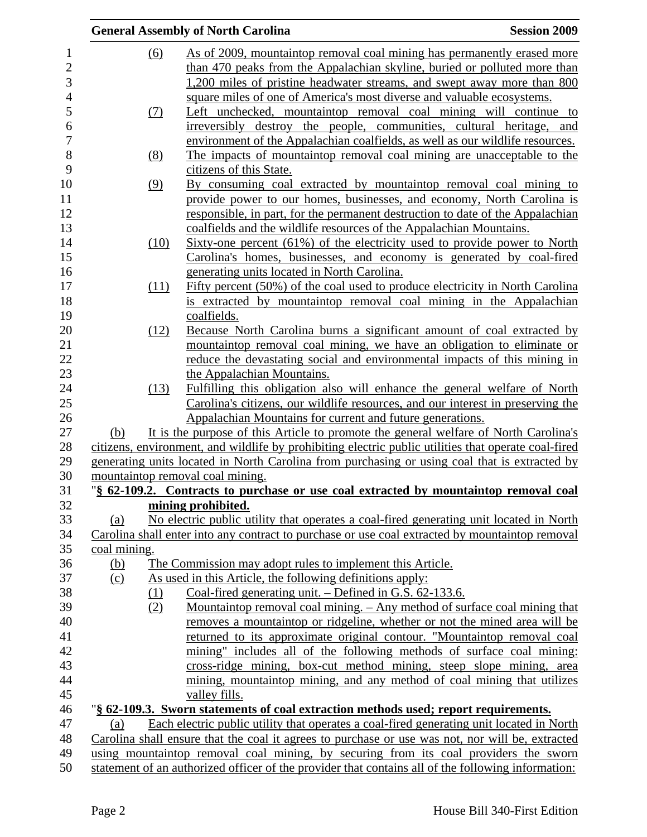|              |            | <b>General Assembly of North Carolina</b>                                                                                                                | <b>Session 2009</b> |
|--------------|------------|----------------------------------------------------------------------------------------------------------------------------------------------------------|---------------------|
|              | <u>(6)</u> | As of 2009, mountaintop removal coal mining has permanently erased more<br>than 470 peaks from the Appalachian skyline, buried or polluted more than     |                     |
|              |            | 1,200 miles of pristine headwater streams, and swept away more than 800                                                                                  |                     |
|              |            | square miles of one of America's most diverse and valuable ecosystems.                                                                                   |                     |
|              | (7)        | Left unchecked, mountaintop removal coal mining will continue to                                                                                         |                     |
|              |            | irreversibly destroy the people, communities, cultural heritage, and                                                                                     |                     |
|              |            | environment of the Appalachian coalfields, as well as our wildlife resources.                                                                            |                     |
|              | <u>(8)</u> | The impacts of mountaintop removal coal mining are unacceptable to the<br>citizens of this State.                                                        |                     |
|              | (9)        | By consuming coal extracted by mountaintop removal coal mining to                                                                                        |                     |
|              |            | provide power to our homes, businesses, and economy, North Carolina is<br>responsible, in part, for the permanent destruction to date of the Appalachian |                     |
|              |            | coalfields and the wildlife resources of the Appalachian Mountains.                                                                                      |                     |
|              | (10)       | Sixty-one percent (61%) of the electricity used to provide power to North                                                                                |                     |
|              |            | Carolina's homes, businesses, and economy is generated by coal-fired                                                                                     |                     |
|              |            | generating units located in North Carolina.                                                                                                              |                     |
|              | (11)       | Fifty percent (50%) of the coal used to produce electricity in North Carolina                                                                            |                     |
|              |            | is extracted by mountaintop removal coal mining in the Appalachian                                                                                       |                     |
|              | (12)       | coalfields.<br>Because North Carolina burns a significant amount of coal extracted by                                                                    |                     |
|              |            | mountaintop removal coal mining, we have an obligation to eliminate or                                                                                   |                     |
|              |            | reduce the devastating social and environmental impacts of this mining in                                                                                |                     |
|              |            | the Appalachian Mountains.                                                                                                                               |                     |
|              | (13)       | Fulfilling this obligation also will enhance the general welfare of North                                                                                |                     |
|              |            | Carolina's citizens, our wildlife resources, and our interest in preserving the                                                                          |                     |
|              |            | Appalachian Mountains for current and future generations.                                                                                                |                     |
| (b)          |            | It is the purpose of this Article to promote the general welfare of North Carolina's                                                                     |                     |
|              |            | citizens, environment, and wildlife by prohibiting electric public utilities that operate coal-fired                                                     |                     |
|              |            | generating units located in North Carolina from purchasing or using coal that is extracted by                                                            |                     |
|              |            | mountaintop removal coal mining.                                                                                                                         |                     |
|              |            | "§ 62-109.2. Contracts to purchase or use coal extracted by mountaintop removal coal                                                                     |                     |
|              |            | mining prohibited.                                                                                                                                       |                     |
| (a)          |            | No electric public utility that operates a coal-fired generating unit located in North                                                                   |                     |
|              |            | Carolina shall enter into any contract to purchase or use coal extracted by mountaintop removal                                                          |                     |
| coal mining. |            |                                                                                                                                                          |                     |
| <u>(b)</u>   |            | The Commission may adopt rules to implement this Article.                                                                                                |                     |
| (c)          |            | As used in this Article, the following definitions apply:                                                                                                |                     |
|              | <u>(1)</u> | Coal-fired generating unit. – Defined in G.S. 62-133.6.<br>Mountaintop removal coal mining. – Any method of surface coal mining that                     |                     |
|              | (2)        | removes a mountaintop or ridgeline, whether or not the mined area will be                                                                                |                     |
|              |            | returned to its approximate original contour. "Mountaintop removal coal                                                                                  |                     |
|              |            | mining" includes all of the following methods of surface coal mining:                                                                                    |                     |
|              |            | cross-ridge mining, box-cut method mining, steep slope mining, area                                                                                      |                     |
|              |            | mining, mountaintop mining, and any method of coal mining that utilizes                                                                                  |                     |
|              |            | valley fills.                                                                                                                                            |                     |
|              |            | "§ 62-109.3. Sworn statements of coal extraction methods used; report requirements.                                                                      |                     |
| (a)          |            | Each electric public utility that operates a coal-fired generating unit located in North                                                                 |                     |
|              |            | Carolina shall ensure that the coal it agrees to purchase or use was not, nor will be, extracted                                                         |                     |
|              |            | using mountaintop removal coal mining, by securing from its coal providers the sworn                                                                     |                     |
|              |            | statement of an authorized officer of the provider that contains all of the following information:                                                       |                     |